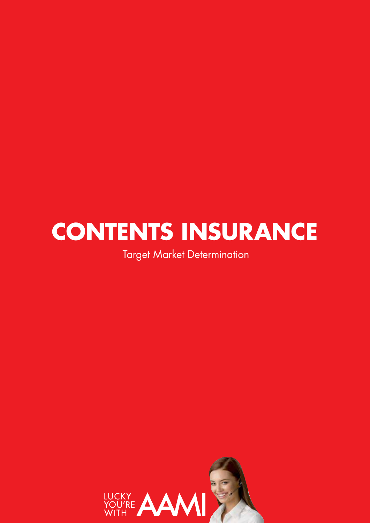# **CONTENTS INSURANCE**

Target Market Determination

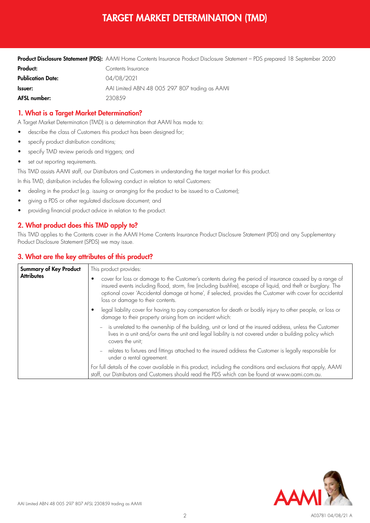# TARGET MARKET DETERMINATION (TMD)

|                          | <b>Product Disclosure Statement (PDS):</b> AAMI Home Contents Insurance Product Disclosure Statement – PDS prepared 18 September 2020 |
|--------------------------|---------------------------------------------------------------------------------------------------------------------------------------|
| Product:                 | Contents Insurance                                                                                                                    |
| <b>Publication Date:</b> | 04/08/2021                                                                                                                            |
| Issuer:                  | AAI Limited ABN 48 005 297 807 trading as AAMI                                                                                        |
| AFSL number:             | 2308.59                                                                                                                               |

## 1. What is a Target Market Determination?

A Target Market Determination (TMD) is a determination that AAMI has made to:

- describe the class of Customers this product has been designed for;
- specify product distribution conditions;
- specify TMD review periods and triggers; and
- set out reporting requirements.

This TMD assists AAMI staff, our Distributors and Customers in understanding the target market for this product.

In this TMD, distribution includes the following conduct in relation to retail Customers:

- dealing in the product (e.g. issuing or arranging for the product to be issued to a Customer);
- giving a PDS or other regulated disclosure document; and
- providing financial product advice in relation to the product.

## 2. What product does this TMD apply to?

This TMD applies to the Contents cover in the AAMI Home Contents Insurance Product Disclosure Statement (PDS) and any Supplementary Product Disclosure Statement (SPDS) we may issue.

#### 3. What are the key attributes of this product?

| <b>Summary of Key Product</b><br><b>Attributes</b> | This product provides:                                                                                                                                                                                                                                                                                                                                                     |  |  |  |
|----------------------------------------------------|----------------------------------------------------------------------------------------------------------------------------------------------------------------------------------------------------------------------------------------------------------------------------------------------------------------------------------------------------------------------------|--|--|--|
|                                                    | cover for loss or damage to the Customer's contents during the period of insurance caused by a range of<br>insured events including flood, storm, fire (including bushfire), escape of liquid, and theft or burglary. The<br>optional cover 'Accidental damage at home', if selected, provides the Customer with cover for accidental<br>loss or damage to their contents. |  |  |  |
|                                                    | legal liability cover for having to pay compensation for death or bodily injury to other people, or loss or<br>damage to their property arising from an incident which:                                                                                                                                                                                                    |  |  |  |
|                                                    | - is unrelated to the ownership of the building, unit or land at the insured address, unless the Customer<br>lives in a unit and/or owns the unit and legal liability is not covered under a building policy which<br>covers the unit;                                                                                                                                     |  |  |  |
|                                                    | - relates to fixtures and fittings attached to the insured address the Customer is legally responsible for<br>under a rental agreement.                                                                                                                                                                                                                                    |  |  |  |
|                                                    | For full details of the cover available in this product, including the conditions and exclusions that apply, AAMI<br>staff, our Distributors and Customers should read the PDS which can be found at www.aami.com.au.                                                                                                                                                      |  |  |  |

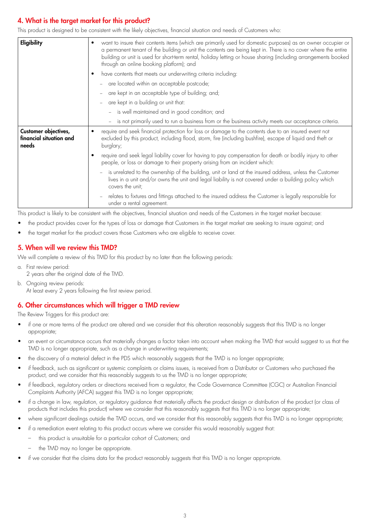# 4. What is the target market for this product?

This product is designed to be consistent with the likely objectives, financial situation and needs of Customers who:

| Eligibility                                              | want to insure their contents items (which are primarily used for domestic purposes) as an owner occupier or<br>a permanent tenant of the building or unit the contents are being kept in. There is no cover where the entire<br>building or unit is used for short-term rental, holiday letting or house sharing (including arrangements booked<br>through an online booking platform); and |                                                                                                                                                                                                                                                                  |  |  |  |
|----------------------------------------------------------|----------------------------------------------------------------------------------------------------------------------------------------------------------------------------------------------------------------------------------------------------------------------------------------------------------------------------------------------------------------------------------------------|------------------------------------------------------------------------------------------------------------------------------------------------------------------------------------------------------------------------------------------------------------------|--|--|--|
|                                                          |                                                                                                                                                                                                                                                                                                                                                                                              | have contents that meets our underwriting criteria including:                                                                                                                                                                                                    |  |  |  |
|                                                          |                                                                                                                                                                                                                                                                                                                                                                                              | - are located within an acceptable postcode;                                                                                                                                                                                                                     |  |  |  |
|                                                          | are kept in an acceptable type of building; and;                                                                                                                                                                                                                                                                                                                                             |                                                                                                                                                                                                                                                                  |  |  |  |
|                                                          | are kept in a building or unit that:<br>$\overline{\phantom{a}}$                                                                                                                                                                                                                                                                                                                             |                                                                                                                                                                                                                                                                  |  |  |  |
|                                                          |                                                                                                                                                                                                                                                                                                                                                                                              | - is well maintained and in good condition; and                                                                                                                                                                                                                  |  |  |  |
|                                                          |                                                                                                                                                                                                                                                                                                                                                                                              | - is not primarily used to run a business from or the business activity meets our acceptance criteria.                                                                                                                                                           |  |  |  |
| Customer objectives,<br>financial situation and<br>needs |                                                                                                                                                                                                                                                                                                                                                                                              | require and seek financial protection for loss or damage to the contents due to an insured event not<br>excluded by this product, including flood, storm, fire (including bushfire), escape of liquid and theft or<br>burglary;                                  |  |  |  |
|                                                          | require and seek legal liability cover for having to pay compensation for death or bodily injury to other<br>people, or loss or damage to their property arising from an incident which:                                                                                                                                                                                                     |                                                                                                                                                                                                                                                                  |  |  |  |
|                                                          |                                                                                                                                                                                                                                                                                                                                                                                              | is unrelated to the ownership of the building, unit or land at the insured address, unless the Customer<br>$\overline{\phantom{a}}$<br>lives in a unit and/or owns the unit and legal liability is not covered under a building policy which<br>covers the unit; |  |  |  |
|                                                          |                                                                                                                                                                                                                                                                                                                                                                                              | relates to fixtures and fittings attached to the insured address the Customer is legally responsible for<br>$\overline{\phantom{a}}$<br>under a rental agreement.                                                                                                |  |  |  |

This product is likely to be consistent with the objectives, financial situation and needs of the Customers in the target market because:

- the product provides cover for the types of loss or damage that Customers in the target market are seeking to insure against; and
- the target market for the product covers those Customers who are eligible to receive cover.

#### 5. When will we review this TMD?

We will complete a review of this TMD for this product by no later than the following periods:

- a. First review period: 2 years after the original date of the TMD.
- b. Ongoing review periods: At least every 2 years following the first review period.

#### 6. Other circumstances which will trigger a TMD review

The Review Triggers for this product are:

- if one or more terms of the product are altered and we consider that this alteration reasonably suggests that this TMD is no longer appropriate;
- an event or circumstance occurs that materially changes a factor taken into account when making the TMD that would suggest to us that the TMD is no longer appropriate, such as a change in underwriting requirements;
- the discovery of a material defect in the PDS which reasonably suggests that the TMD is no longer appropriate;
- if feedback, such as significant or systemic complaints or claims issues, is received from a Distributor or Customers who purchased the product, and we consider that this reasonably suggests to us the TMD is no longer appropriate;
- if feedback, regulatory orders or directions received from a regulator, the Code Governance Committee (CGC) or Australian Financial Complaints Authority (AFCA) suggest this TMD is no longer appropriate;
- if a change in law, regulation, or regulatory guidance that materially affects the product design or distribution of the product (or class of products that includes this product) where we consider that this reasonably suggests that this TMD is no longer appropriate;
- where significant dealings outside the TMD occurs, and we consider that this reasonably suggests that this TMD is no longer appropriate;
- if a remediation event relating to this product occurs where we consider this would reasonably suggest that:
	- this product is unsuitable for a particular cohort of Customers; and
	- the TMD may no longer be appropriate.
- if we consider that the claims data for the product reasonably suggests that this TMD is no longer appropriate.